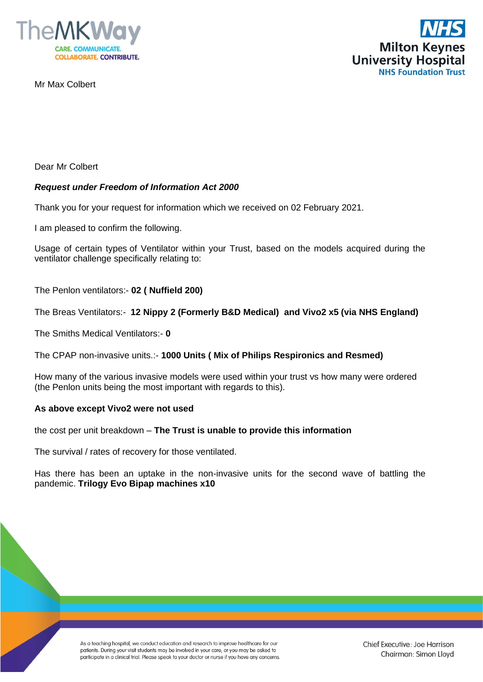

Mr Max Colbert



Dear Mr Colbert

## *Request under Freedom of Information Act 2000*

Thank you for your request for information which we received on 02 February 2021.

I am pleased to confirm the following.

Usage of certain types of Ventilator within your Trust, based on the models acquired during the ventilator challenge specifically relating to:

The Penlon ventilators:- **02 ( Nuffield 200)**

The Breas Ventilators:- **12 Nippy 2 (Formerly B&D Medical) and Vivo2 x5 (via NHS England)**

The Smiths Medical Ventilators:- **0**

The CPAP non-invasive units.:- **1000 Units ( Mix of Philips Respironics and Resmed)**

How many of the various invasive models were used within your trust vs how many were ordered (the Penlon units being the most important with regards to this).

## **As above except Vivo2 were not used**

the cost per unit breakdown – **The Trust is unable to provide this information**

The survival / rates of recovery for those ventilated.

Has there has been an uptake in the non-invasive units for the second wave of battling the pandemic. **Trilogy Evo Bipap machines x10**

> As a teaching hospital, we conduct education and research to improve healthcare for our patients. During your visit students may be involved in your care, or you may be asked to participate in a clinical trial. Please speak to your doctor or nurse if you have any concerns.